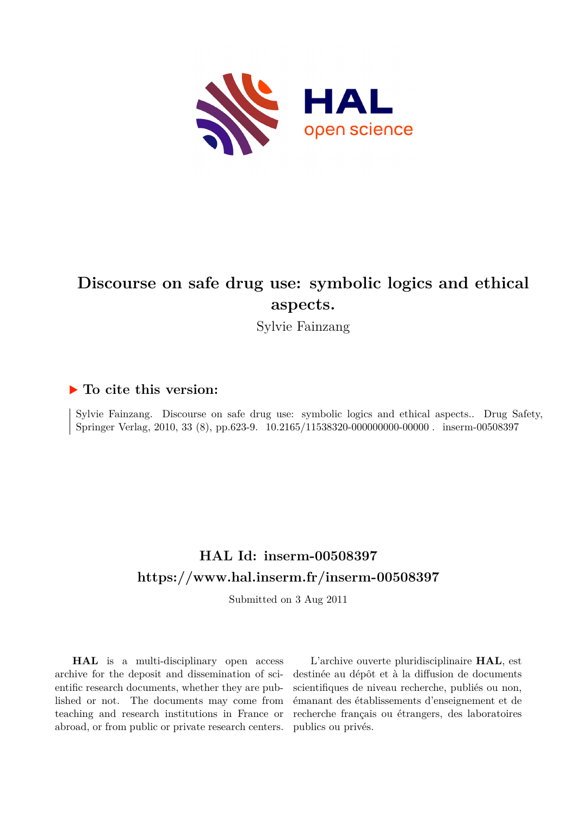

# **Discourse on safe drug use: symbolic logics and ethical aspects.**

Sylvie Fainzang

### **To cite this version:**

Sylvie Fainzang. Discourse on safe drug use: symbolic logics and ethical aspects.. Drug Safety, Springer Verlag, 2010, 33 (8), pp.623-9.  $10.2165/11538320-000000000-00000$ . inserm-00508397

## **HAL Id: inserm-00508397 <https://www.hal.inserm.fr/inserm-00508397>**

Submitted on 3 Aug 2011

**HAL** is a multi-disciplinary open access archive for the deposit and dissemination of scientific research documents, whether they are published or not. The documents may come from teaching and research institutions in France or abroad, or from public or private research centers.

L'archive ouverte pluridisciplinaire **HAL**, est destinée au dépôt et à la diffusion de documents scientifiques de niveau recherche, publiés ou non, émanant des établissements d'enseignement et de recherche français ou étrangers, des laboratoires publics ou privés.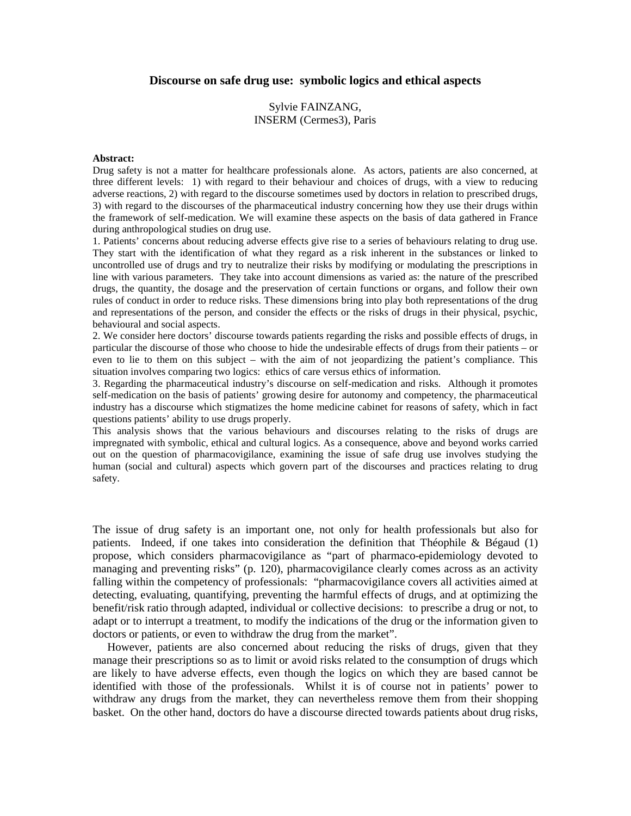#### **Discourse on safe drug use: symbolic logics and ethical aspects**

#### Sylvie FAINZANG, INSERM (Cermes3), Paris

#### **Abstract:**

Drug safety is not a matter for healthcare professionals alone. As actors, patients are also concerned, at three different levels: 1) with regard to their behaviour and choices of drugs, with a view to reducing adverse reactions, 2) with regard to the discourse sometimes used by doctors in relation to prescribed drugs, 3) with regard to the discourses of the pharmaceutical industry concerning how they use their drugs within the framework of self-medication. We will examine these aspects on the basis of data gathered in France during anthropological studies on drug use.

1. Patients' concerns about reducing adverse effects give rise to a series of behaviours relating to drug use. They start with the identification of what they regard as a risk inherent in the substances or linked to uncontrolled use of drugs and try to neutralize their risks by modifying or modulating the prescriptions in line with various parameters. They take into account dimensions as varied as: the nature of the prescribed drugs, the quantity, the dosage and the preservation of certain functions or organs, and follow their own rules of conduct in order to reduce risks. These dimensions bring into play both representations of the drug and representations of the person, and consider the effects or the risks of drugs in their physical, psychic, behavioural and social aspects.

2. We consider here doctors' discourse towards patients regarding the risks and possible effects of drugs, in particular the discourse of those who choose to hide the undesirable effects of drugs from their patients – or even to lie to them on this subject – with the aim of not jeopardizing the patient's compliance. This situation involves comparing two logics: ethics of care versus ethics of information.

3. Regarding the pharmaceutical industry's discourse on self-medication and risks. Although it promotes self-medication on the basis of patients' growing desire for autonomy and competency, the pharmaceutical industry has a discourse which stigmatizes the home medicine cabinet for reasons of safety, which in fact questions patients' ability to use drugs properly.

This analysis shows that the various behaviours and discourses relating to the risks of drugs are impregnated with symbolic, ethical and cultural logics. As a consequence, above and beyond works carried out on the question of pharmacovigilance, examining the issue of safe drug use involves studying the human (social and cultural) aspects which govern part of the discourses and practices relating to drug safety.

The issue of drug safety is an important one, not only for health professionals but also for patients. Indeed, if one takes into consideration the definition that Théophile & Bégaud (1) propose, which considers pharmacovigilance as "part of pharmaco-epidemiology devoted to managing and preventing risks" (p. 120), pharmacovigilance clearly comes across as an activity falling within the competency of professionals: "pharmacovigilance covers all activities aimed at detecting, evaluating, quantifying, preventing the harmful effects of drugs, and at optimizing the benefit/risk ratio through adapted, individual or collective decisions: to prescribe a drug or not, to adapt or to interrupt a treatment, to modify the indications of the drug or the information given to doctors or patients, or even to withdraw the drug from the market".

However, patients are also concerned about reducing the risks of drugs, given that they manage their prescriptions so as to limit or avoid risks related to the consumption of drugs which are likely to have adverse effects, even though the logics on which they are based cannot be identified with those of the professionals. Whilst it is of course not in patients' power to withdraw any drugs from the market, they can nevertheless remove them from their shopping basket. On the other hand, doctors do have a discourse directed towards patients about drug risks,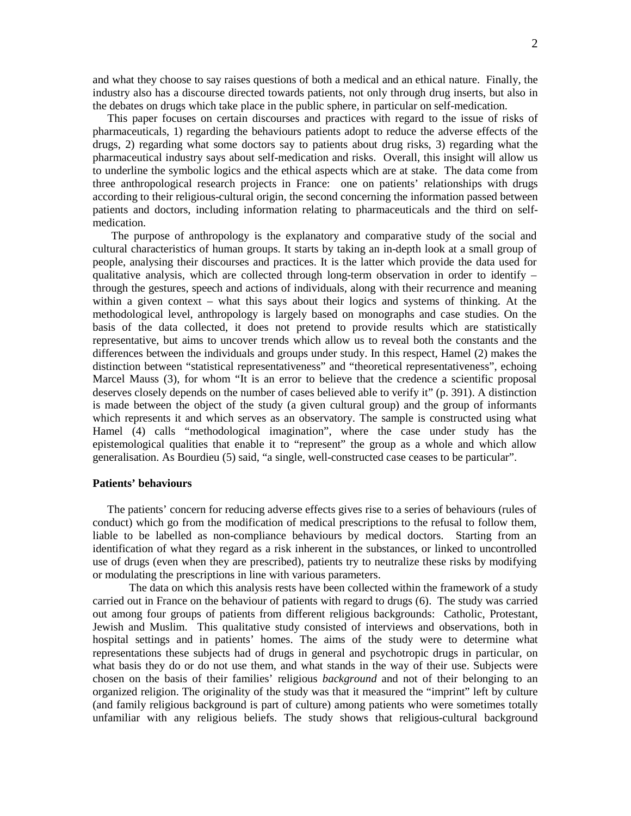and what they choose to say raises questions of both a medical and an ethical nature. Finally, the industry also has a discourse directed towards patients, not only through drug inserts, but also in the debates on drugs which take place in the public sphere, in particular on self-medication.

This paper focuses on certain discourses and practices with regard to the issue of risks of pharmaceuticals, 1) regarding the behaviours patients adopt to reduce the adverse effects of the drugs, 2) regarding what some doctors say to patients about drug risks, 3) regarding what the pharmaceutical industry says about self-medication and risks. Overall, this insight will allow us to underline the symbolic logics and the ethical aspects which are at stake. The data come from three anthropological research projects in France: one on patients' relationships with drugs according to their religious-cultural origin, the second concerning the information passed between patients and doctors, including information relating to pharmaceuticals and the third on selfmedication.

The purpose of anthropology is the explanatory and comparative study of the social and cultural characteristics of human groups. It starts by taking an in-depth look at a small group of people, analysing their discourses and practices. It is the latter which provide the data used for qualitative analysis, which are collected through long-term observation in order to identify – through the gestures, speech and actions of individuals, along with their recurrence and meaning within a given context – what this says about their logics and systems of thinking. At the methodological level, anthropology is largely based on monographs and case studies. On the basis of the data collected, it does not pretend to provide results which are statistically representative, but aims to uncover trends which allow us to reveal both the constants and the differences between the individuals and groups under study. In this respect, Hamel (2) makes the distinction between "statistical representativeness" and "theoretical representativeness", echoing Marcel Mauss (3), for whom "It is an error to believe that the credence a scientific proposal deserves closely depends on the number of cases believed able to verify it" (p. 391). A distinction is made between the object of the study (a given cultural group) and the group of informants which represents it and which serves as an observatory. The sample is constructed using what Hamel (4) calls "methodological imagination", where the case under study has the epistemological qualities that enable it to "represent" the group as a whole and which allow generalisation. As Bourdieu (5) said, "a single, well-constructed case ceases to be particular".

#### **Patients' behaviours**

The patients' concern for reducing adverse effects gives rise to a series of behaviours (rules of conduct) which go from the modification of medical prescriptions to the refusal to follow them, liable to be labelled as non-compliance behaviours by medical doctors. Starting from an identification of what they regard as a risk inherent in the substances, or linked to uncontrolled use of drugs (even when they are prescribed), patients try to neutralize these risks by modifying or modulating the prescriptions in line with various parameters.

The data on which this analysis rests have been collected within the framework of a study carried out in France on the behaviour of patients with regard to drugs (6). The study was carried out among four groups of patients from different religious backgrounds: Catholic, Protestant, Jewish and Muslim. This qualitative study consisted of interviews and observations, both in hospital settings and in patients' homes. The aims of the study were to determine what representations these subjects had of drugs in general and psychotropic drugs in particular, on what basis they do or do not use them, and what stands in the way of their use. Subjects were chosen on the basis of their families' religious *background* and not of their belonging to an organized religion. The originality of the study was that it measured the "imprint" left by culture (and family religious background is part of culture) among patients who were sometimes totally unfamiliar with any religious beliefs. The study shows that religious-cultural background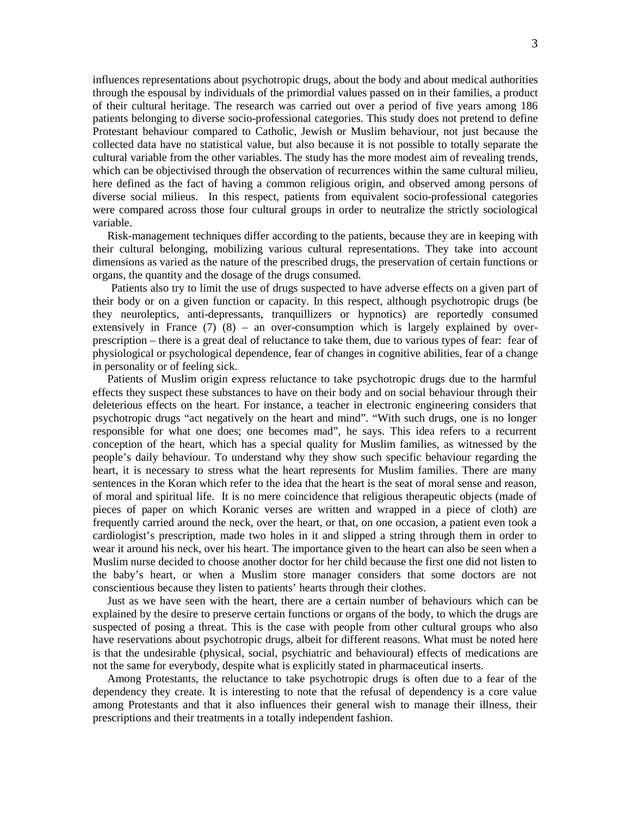influences representations about psychotropic drugs, about the body and about medical authorities through the espousal by individuals of the primordial values passed on in their families, a product of their cultural heritage. The research was carried out over a period of five years among 186 patients belonging to diverse socio-professional categories. This study does not pretend to define Protestant behaviour compared to Catholic, Jewish or Muslim behaviour, not just because the collected data have no statistical value, but also because it is not possible to totally separate the cultural variable from the other variables. The study has the more modest aim of revealing trends, which can be objectivised through the observation of recurrences within the same cultural milieu, here defined as the fact of having a common religious origin, and observed among persons of diverse social milieus. In this respect, patients from equivalent socio-professional categories were compared across those four cultural groups in order to neutralize the strictly sociological variable.

Risk-management techniques differ according to the patients, because they are in keeping with their cultural belonging, mobilizing various cultural representations. They take into account dimensions as varied as the nature of the prescribed drugs, the preservation of certain functions or organs, the quantity and the dosage of the drugs consumed.

Patients also try to limit the use of drugs suspected to have adverse effects on a given part of their body or on a given function or capacity. In this respect, although psychotropic drugs (be they neuroleptics, anti-depressants, tranquillizers or hypnotics) are reportedly consumed extensively in France  $(7)$   $(8)$  – an over-consumption which is largely explained by overprescription – there is a great deal of reluctance to take them, due to various types of fear: fear of physiological or psychological dependence, fear of changes in cognitive abilities, fear of a change in personality or of feeling sick.

Patients of Muslim origin express reluctance to take psychotropic drugs due to the harmful effects they suspect these substances to have on their body and on social behaviour through their deleterious effects on the heart. For instance, a teacher in electronic engineering considers that psychotropic drugs "act negatively on the heart and mind". "With such drugs, one is no longer responsible for what one does; one becomes mad", he says. This idea refers to a recurrent conception of the heart, which has a special quality for Muslim families, as witnessed by the people's daily behaviour. To understand why they show such specific behaviour regarding the heart, it is necessary to stress what the heart represents for Muslim families. There are many sentences in the Koran which refer to the idea that the heart is the seat of moral sense and reason, of moral and spiritual life. It is no mere coincidence that religious therapeutic objects (made of pieces of paper on which Koranic verses are written and wrapped in a piece of cloth) are frequently carried around the neck, over the heart, or that, on one occasion, a patient even took a cardiologist's prescription, made two holes in it and slipped a string through them in order to wear it around his neck, over his heart. The importance given to the heart can also be seen when a Muslim nurse decided to choose another doctor for her child because the first one did not listen to the baby's heart, or when a Muslim store manager considers that some doctors are not conscientious because they listen to patients' hearts through their clothes.

Just as we have seen with the heart, there are a certain number of behaviours which can be explained by the desire to preserve certain functions or organs of the body, to which the drugs are suspected of posing a threat. This is the case with people from other cultural groups who also have reservations about psychotropic drugs, albeit for different reasons. What must be noted here is that the undesirable (physical, social, psychiatric and behavioural) effects of medications are not the same for everybody, despite what is explicitly stated in pharmaceutical inserts.

Among Protestants, the reluctance to take psychotropic drugs is often due to a fear of the dependency they create. It is interesting to note that the refusal of dependency is a core value among Protestants and that it also influences their general wish to manage their illness, their prescriptions and their treatments in a totally independent fashion.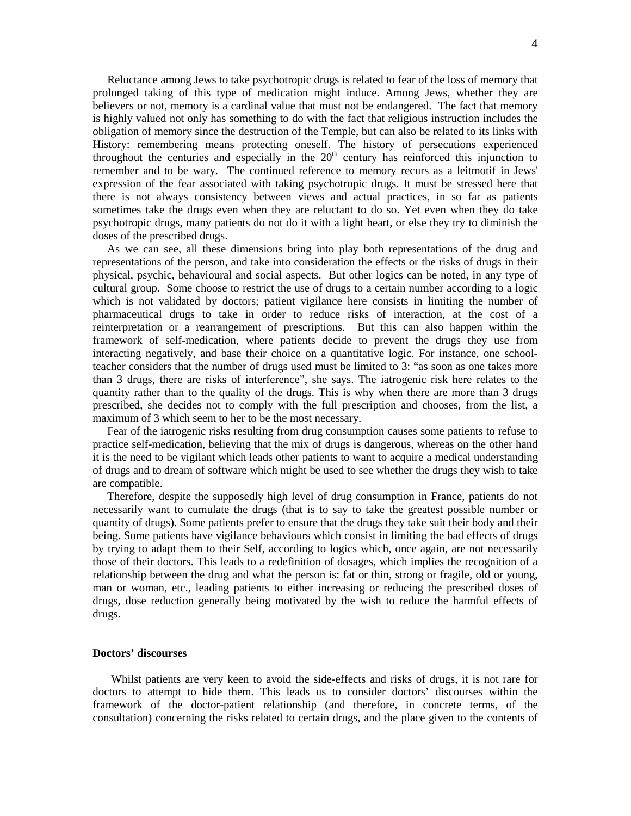Reluctance among Jews to take psychotropic drugs is related to fear of the loss of memory that prolonged taking of this type of medication might induce. Among Jews, whether they are believers or not, memory is a cardinal value that must not be endangered. The fact that memory is highly valued not only has something to do with the fact that religious instruction includes the obligation of memory since the destruction of the Temple, but can also be related to its links with History: remembering means protecting oneself. The history of persecutions experienced throughout the centuries and especially in the  $20<sup>th</sup>$  century has reinforced this injunction to remember and to be wary. The continued reference to memory recurs as a leitmotif in Jews' expression of the fear associated with taking psychotropic drugs. It must be stressed here that there is not always consistency between views and actual practices, in so far as patients sometimes take the drugs even when they are reluctant to do so. Yet even when they do take psychotropic drugs, many patients do not do it with a light heart, or else they try to diminish the doses of the prescribed drugs.

As we can see, all these dimensions bring into play both representations of the drug and representations of the person, and take into consideration the effects or the risks of drugs in their physical, psychic, behavioural and social aspects. But other logics can be noted, in any type of cultural group. Some choose to restrict the use of drugs to a certain number according to a logic which is not validated by doctors; patient vigilance here consists in limiting the number of pharmaceutical drugs to take in order to reduce risks of interaction, at the cost of a reinterpretation or a rearrangement of prescriptions. But this can also happen within the framework of self-medication, where patients decide to prevent the drugs they use from interacting negatively, and base their choice on a quantitative logic. For instance, one schoolteacher considers that the number of drugs used must be limited to 3: "as soon as one takes more than 3 drugs, there are risks of interference", she says. The iatrogenic risk here relates to the quantity rather than to the quality of the drugs. This is why when there are more than 3 drugs prescribed, she decides not to comply with the full prescription and chooses, from the list, a maximum of 3 which seem to her to be the most necessary.

Fear of the iatrogenic risks resulting from drug consumption causes some patients to refuse to practice self-medication, believing that the mix of drugs is dangerous, whereas on the other hand it is the need to be vigilant which leads other patients to want to acquire a medical understanding of drugs and to dream of software which might be used to see whether the drugs they wish to take are compatible.

Therefore, despite the supposedly high level of drug consumption in France, patients do not necessarily want to cumulate the drugs (that is to say to take the greatest possible number or quantity of drugs). Some patients prefer to ensure that the drugs they take suit their body and their being. Some patients have vigilance behaviours which consist in limiting the bad effects of drugs by trying to adapt them to their Self, according to logics which, once again, are not necessarily those of their doctors. This leads to a redefinition of dosages, which implies the recognition of a relationship between the drug and what the person is: fat or thin, strong or fragile, old or young, man or woman, etc., leading patients to either increasing or reducing the prescribed doses of drugs, dose reduction generally being motivated by the wish to reduce the harmful effects of drugs.

#### **Doctors' discourses**

Whilst patients are very keen to avoid the side-effects and risks of drugs, it is not rare for doctors to attempt to hide them. This leads us to consider doctors' discourses within the framework of the doctor-patient relationship (and therefore, in concrete terms, of the consultation) concerning the risks related to certain drugs, and the place given to the contents of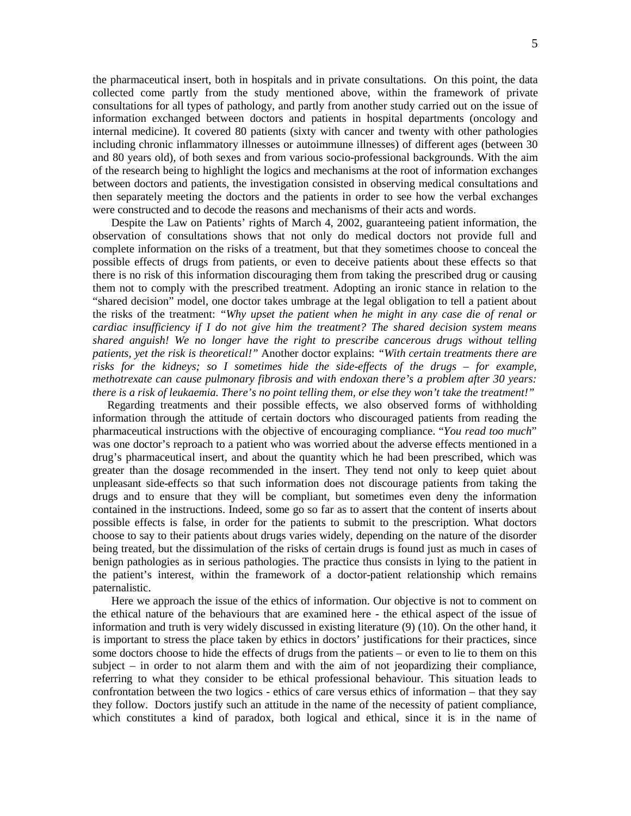the pharmaceutical insert, both in hospitals and in private consultations. On this point, the data collected come partly from the study mentioned above, within the framework of private consultations for all types of pathology, and partly from another study carried out on the issue of information exchanged between doctors and patients in hospital departments (oncology and internal medicine). It covered 80 patients (sixty with cancer and twenty with other pathologies including chronic inflammatory illnesses or autoimmune illnesses) of different ages (between 30 and 80 years old), of both sexes and from various socio-professional backgrounds. With the aim of the research being to highlight the logics and mechanisms at the root of information exchanges between doctors and patients, the investigation consisted in observing medical consultations and then separately meeting the doctors and the patients in order to see how the verbal exchanges were constructed and to decode the reasons and mechanisms of their acts and words.

Despite the Law on Patients' rights of March 4, 2002, guaranteeing patient information, the observation of consultations shows that not only do medical doctors not provide full and complete information on the risks of a treatment, but that they sometimes choose to conceal the possible effects of drugs from patients, or even to deceive patients about these effects so that there is no risk of this information discouraging them from taking the prescribed drug or causing them not to comply with the prescribed treatment. Adopting an ironic stance in relation to the "shared decision" model, one doctor takes umbrage at the legal obligation to tell a patient about the risks of the treatment: *"Why upset the patient when he might in any case die of renal or cardiac insufficiency if I do not give him the treatment? The shared decision system means shared anguish! We no longer have the right to prescribe cancerous drugs without telling patients, yet the risk is theoretical!"* Another doctor explains: *"With certain treatments there are risks for the kidneys; so I sometimes hide the side-effects of the drugs – for example, methotrexate can cause pulmonary fibrosis and with endoxan there's a problem after 30 years: there is a risk of leukaemia. There's no point telling them, or else they won't take the treatment!"*

Regarding treatments and their possible effects, we also observed forms of withholding information through the attitude of certain doctors who discouraged patients from reading the pharmaceutical instructions with the objective of encouraging compliance. "*You read too much*" was one doctor's reproach to a patient who was worried about the adverse effects mentioned in a drug's pharmaceutical insert, and about the quantity which he had been prescribed, which was greater than the dosage recommended in the insert. They tend not only to keep quiet about unpleasant side-effects so that such information does not discourage patients from taking the drugs and to ensure that they will be compliant, but sometimes even deny the information contained in the instructions. Indeed, some go so far as to assert that the content of inserts about possible effects is false, in order for the patients to submit to the prescription. What doctors choose to say to their patients about drugs varies widely, depending on the nature of the disorder being treated, but the dissimulation of the risks of certain drugs is found just as much in cases of benign pathologies as in serious pathologies. The practice thus consists in lying to the patient in the patient's interest, within the framework of a doctor-patient relationship which remains paternalistic.

Here we approach the issue of the ethics of information. Our objective is not to comment on the ethical nature of the behaviours that are examined here - the ethical aspect of the issue of information and truth is very widely discussed in existing literature (9) (10). On the other hand, it is important to stress the place taken by ethics in doctors' justifications for their practices, since some doctors choose to hide the effects of drugs from the patients – or even to lie to them on this subject – in order to not alarm them and with the aim of not jeopardizing their compliance, referring to what they consider to be ethical professional behaviour. This situation leads to confrontation between the two logics - ethics of care versus ethics of information – that they say they follow. Doctors justify such an attitude in the name of the necessity of patient compliance, which constitutes a kind of paradox, both logical and ethical, since it is in the name of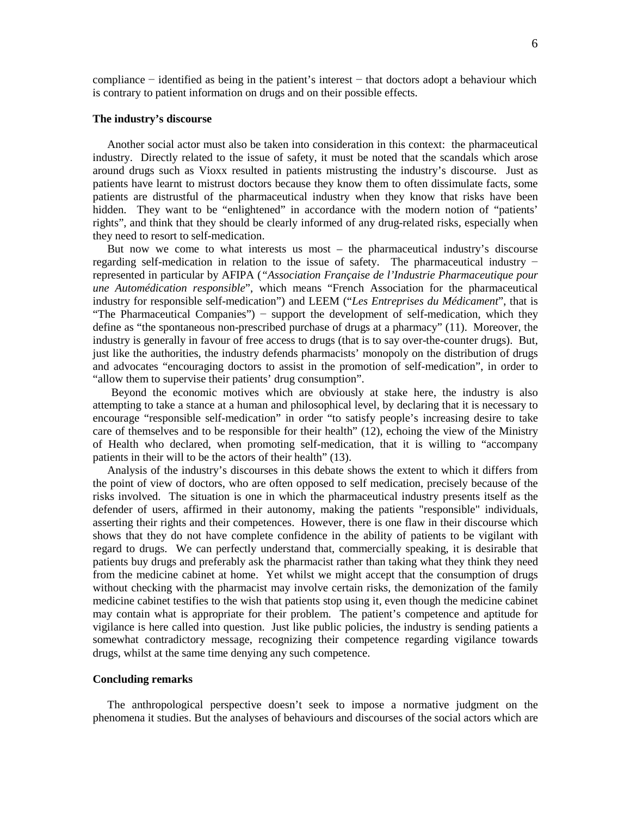compliance − identified as being in the patient's interest − that doctors adopt a behaviour which is contrary to patient information on drugs and on their possible effects.

#### **The industry's discourse**

Another social actor must also be taken into consideration in this context: the pharmaceutical industry. Directly related to the issue of safety, it must be noted that the scandals which arose around drugs such as Vioxx resulted in patients mistrusting the industry's discourse. Just as patients have learnt to mistrust doctors because they know them to often dissimulate facts, some patients are distrustful of the pharmaceutical industry when they know that risks have been hidden. They want to be "enlightened" in accordance with the modern notion of "patients" rights", and think that they should be clearly informed of any drug-related risks, especially when they need to resort to self-medication.

But now we come to what interests us most – the pharmaceutical industry's discourse regarding self-medication in relation to the issue of safety. The pharmaceutical industry − represented in particular by AFIPA (*"Association Française de l'Industrie Pharmaceutique pour une Automédication responsible*", which means "French Association for the pharmaceutical industry for responsible self-medication") and LEEM ("*Les Entreprises du Médicament*", that is "The Pharmaceutical Companies") – support the development of self-medication, which they define as "the spontaneous non-prescribed purchase of drugs at a pharmacy" (11). Moreover, the industry is generally in favour of free access to drugs (that is to say over-the-counter drugs). But, just like the authorities, the industry defends pharmacists' monopoly on the distribution of drugs and advocates "encouraging doctors to assist in the promotion of self-medication", in order to "allow them to supervise their patients' drug consumption".

Beyond the economic motives which are obviously at stake here, the industry is also attempting to take a stance at a human and philosophical level, by declaring that it is necessary to encourage "responsible self-medication" in order "to satisfy people's increasing desire to take care of themselves and to be responsible for their health" (12), echoing the view of the Ministry of Health who declared, when promoting self-medication, that it is willing to "accompany patients in their will to be the actors of their health" (13).

Analysis of the industry's discourses in this debate shows the extent to which it differs from the point of view of doctors, who are often opposed to self medication, precisely because of the risks involved. The situation is one in which the pharmaceutical industry presents itself as the defender of users, affirmed in their autonomy, making the patients "responsible" individuals, asserting their rights and their competences. However, there is one flaw in their discourse which shows that they do not have complete confidence in the ability of patients to be vigilant with regard to drugs. We can perfectly understand that, commercially speaking, it is desirable that patients buy drugs and preferably ask the pharmacist rather than taking what they think they need from the medicine cabinet at home. Yet whilst we might accept that the consumption of drugs without checking with the pharmacist may involve certain risks, the demonization of the family medicine cabinet testifies to the wish that patients stop using it, even though the medicine cabinet may contain what is appropriate for their problem. The patient's competence and aptitude for vigilance is here called into question. Just like public policies, the industry is sending patients a somewhat contradictory message, recognizing their competence regarding vigilance towards drugs, whilst at the same time denying any such competence.

#### **Concluding remarks**

The anthropological perspective doesn't seek to impose a normative judgment on the phenomena it studies. But the analyses of behaviours and discourses of the social actors which are